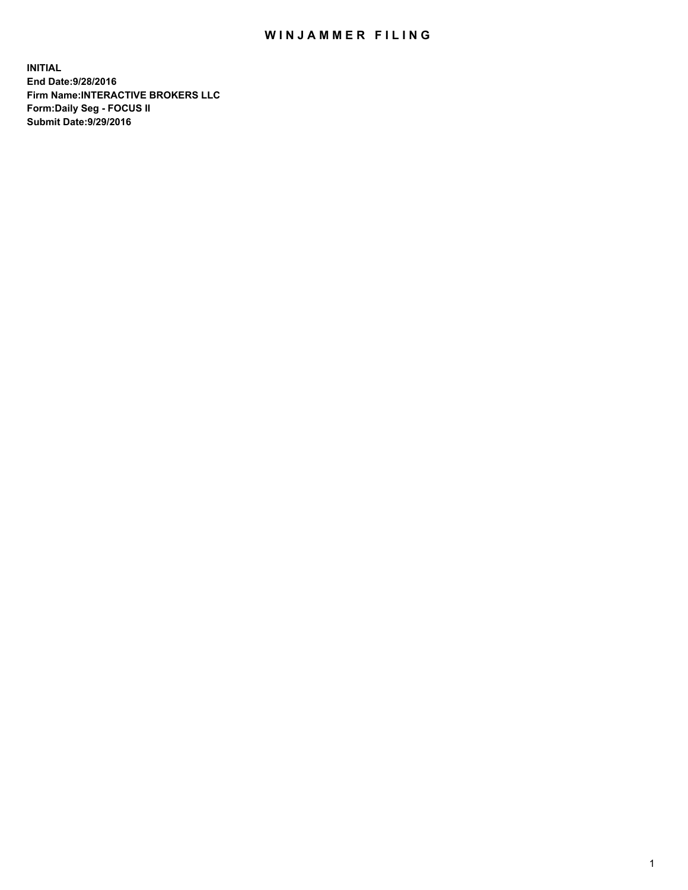## WIN JAMMER FILING

**INITIAL End Date:9/28/2016 Firm Name:INTERACTIVE BROKERS LLC Form:Daily Seg - FOCUS II Submit Date:9/29/2016**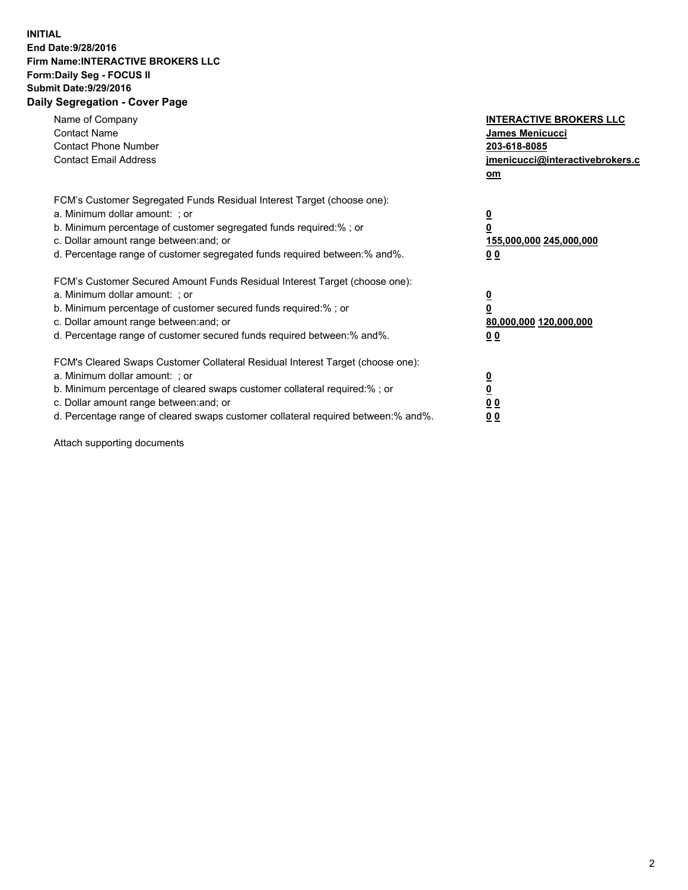## **INITIAL End Date:9/28/2016 Firm Name:INTERACTIVE BROKERS LLC Form:Daily Seg - FOCUS II Submit Date:9/29/2016 Daily Segregation - Cover Page**

| Name of Company<br><b>Contact Name</b><br><b>Contact Phone Number</b><br><b>Contact Email Address</b>                                                                                                                                                                                                                          | <b>INTERACTIVE BROKERS LLC</b><br>James Menicucci<br>203-618-8085<br>jmenicucci@interactivebrokers.c<br>om |
|--------------------------------------------------------------------------------------------------------------------------------------------------------------------------------------------------------------------------------------------------------------------------------------------------------------------------------|------------------------------------------------------------------------------------------------------------|
| FCM's Customer Segregated Funds Residual Interest Target (choose one):<br>a. Minimum dollar amount: ; or<br>b. Minimum percentage of customer segregated funds required:%; or<br>c. Dollar amount range between: and; or<br>d. Percentage range of customer segregated funds required between:% and%.                          | $\overline{\mathbf{0}}$<br>0<br>155,000,000 245,000,000<br>0 <sub>0</sub>                                  |
| FCM's Customer Secured Amount Funds Residual Interest Target (choose one):<br>a. Minimum dollar amount: ; or<br>b. Minimum percentage of customer secured funds required:%; or<br>c. Dollar amount range between: and; or<br>d. Percentage range of customer secured funds required between:% and%.                            | $\overline{\mathbf{0}}$<br>$\overline{\mathbf{0}}$<br>80,000,000 120,000,000<br>00                         |
| FCM's Cleared Swaps Customer Collateral Residual Interest Target (choose one):<br>a. Minimum dollar amount: ; or<br>b. Minimum percentage of cleared swaps customer collateral required:% ; or<br>c. Dollar amount range between: and; or<br>d. Percentage range of cleared swaps customer collateral required between:% and%. | $\overline{\mathbf{0}}$<br>$\overline{\mathbf{0}}$<br>0 <sub>0</sub><br><u>00</u>                          |

Attach supporting documents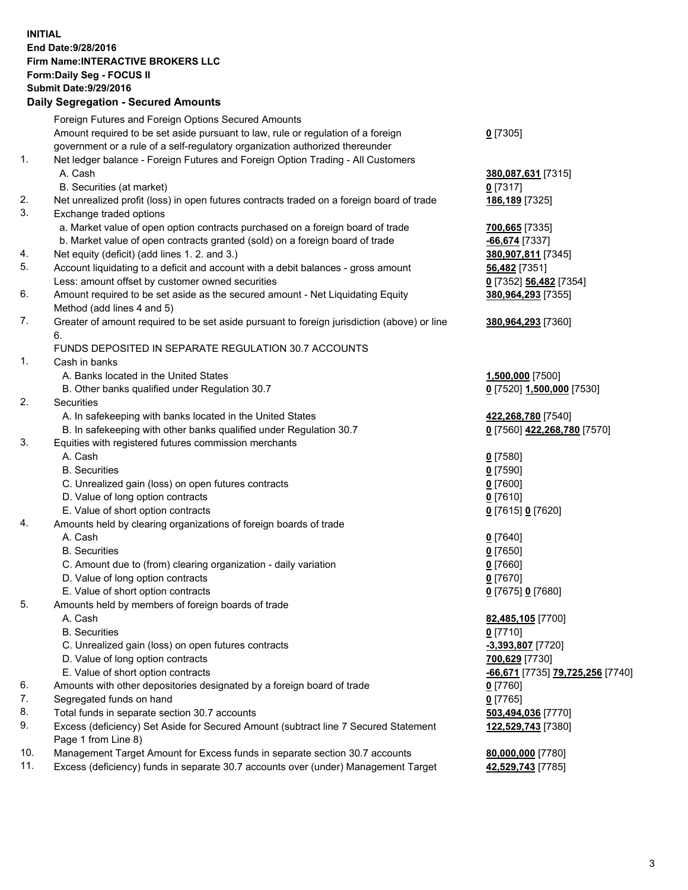## **INITIAL End Date:9/28/2016 Firm Name:INTERACTIVE BROKERS LLC Form:Daily Seg - FOCUS II Submit Date:9/29/2016 Daily Segregation - Secured Amounts**

|                | Daily Segregation - Secured Amounts                                                                        |                                  |
|----------------|------------------------------------------------------------------------------------------------------------|----------------------------------|
|                | Foreign Futures and Foreign Options Secured Amounts                                                        |                                  |
|                | Amount required to be set aside pursuant to law, rule or regulation of a foreign                           | $0$ [7305]                       |
|                | government or a rule of a self-regulatory organization authorized thereunder                               |                                  |
| 1.             | Net ledger balance - Foreign Futures and Foreign Option Trading - All Customers                            |                                  |
|                | A. Cash                                                                                                    | 380,087,631 [7315]               |
|                | B. Securities (at market)                                                                                  | $0$ [7317]                       |
| 2.             | Net unrealized profit (loss) in open futures contracts traded on a foreign board of trade                  | 186,189 [7325]                   |
| 3.             | Exchange traded options                                                                                    |                                  |
|                | a. Market value of open option contracts purchased on a foreign board of trade                             | 700,665 [7335]                   |
|                | b. Market value of open contracts granted (sold) on a foreign board of trade                               | $-66,674$ [7337]                 |
| 4.             | Net equity (deficit) (add lines 1.2. and 3.)                                                               | 380,907,811 [7345]               |
| 5.             | Account liquidating to a deficit and account with a debit balances - gross amount                          | 56,482 [7351]                    |
|                | Less: amount offset by customer owned securities                                                           | 0 [7352] 56,482 [7354]           |
| 6.             | Amount required to be set aside as the secured amount - Net Liquidating Equity                             | 380,964,293 [7355]               |
|                | Method (add lines 4 and 5)                                                                                 |                                  |
| 7.             | Greater of amount required to be set aside pursuant to foreign jurisdiction (above) or line                | 380,964,293 [7360]               |
|                | 6.                                                                                                         |                                  |
|                | FUNDS DEPOSITED IN SEPARATE REGULATION 30.7 ACCOUNTS                                                       |                                  |
| $\mathbf{1}$ . | Cash in banks                                                                                              |                                  |
|                | A. Banks located in the United States                                                                      | 1,500,000 [7500]                 |
|                | B. Other banks qualified under Regulation 30.7                                                             | 0 [7520] 1,500,000 [7530]        |
| 2.             | Securities                                                                                                 |                                  |
|                | A. In safekeeping with banks located in the United States                                                  | 422,268,780 [7540]               |
|                | B. In safekeeping with other banks qualified under Regulation 30.7                                         | 0 [7560] 422,268,780 [7570]      |
| 3.             | Equities with registered futures commission merchants                                                      |                                  |
|                | A. Cash                                                                                                    | $0$ [7580]                       |
|                | <b>B.</b> Securities                                                                                       | $0$ [7590]                       |
|                | C. Unrealized gain (loss) on open futures contracts                                                        | $0$ [7600]                       |
|                | D. Value of long option contracts                                                                          | $0$ [7610]                       |
|                | E. Value of short option contracts                                                                         | 0 [7615] 0 [7620]                |
| 4.             | Amounts held by clearing organizations of foreign boards of trade                                          |                                  |
|                | A. Cash                                                                                                    | $0$ [7640]                       |
|                | <b>B.</b> Securities                                                                                       | $0$ [7650]                       |
|                | C. Amount due to (from) clearing organization - daily variation                                            | $0$ [7660]                       |
|                | D. Value of long option contracts                                                                          | $0$ [7670]                       |
|                | E. Value of short option contracts                                                                         | 0 [7675] 0 [7680]                |
| 5.             | Amounts held by members of foreign boards of trade                                                         |                                  |
|                | A. Cash                                                                                                    | 82,485,105 [7700]                |
|                | <b>B.</b> Securities                                                                                       | $0$ [7710]                       |
|                | C. Unrealized gain (loss) on open futures contracts                                                        | $-3,393,807$ [7720]              |
|                | D. Value of long option contracts                                                                          | 700,629 [7730]                   |
|                | E. Value of short option contracts                                                                         | -66,671 [7735] 79,725,256 [7740] |
| 6.             | Amounts with other depositories designated by a foreign board of trade                                     | 0 [7760]                         |
| 7.             | Segregated funds on hand                                                                                   | $0$ [7765]                       |
| 8.             | Total funds in separate section 30.7 accounts                                                              | 503,494,036 [7770]               |
| 9.             | Excess (deficiency) Set Aside for Secured Amount (subtract line 7 Secured Statement<br>Page 1 from Line 8) | 122,529,743 [7380]               |
| 10.            | Management Target Amount for Excess funds in separate section 30.7 accounts                                | 80,000,000 [7780]                |
| 11.            | Excess (deficiency) funds in separate 30.7 accounts over (under) Management Target                         | 42,529,743 [7785]                |
|                |                                                                                                            |                                  |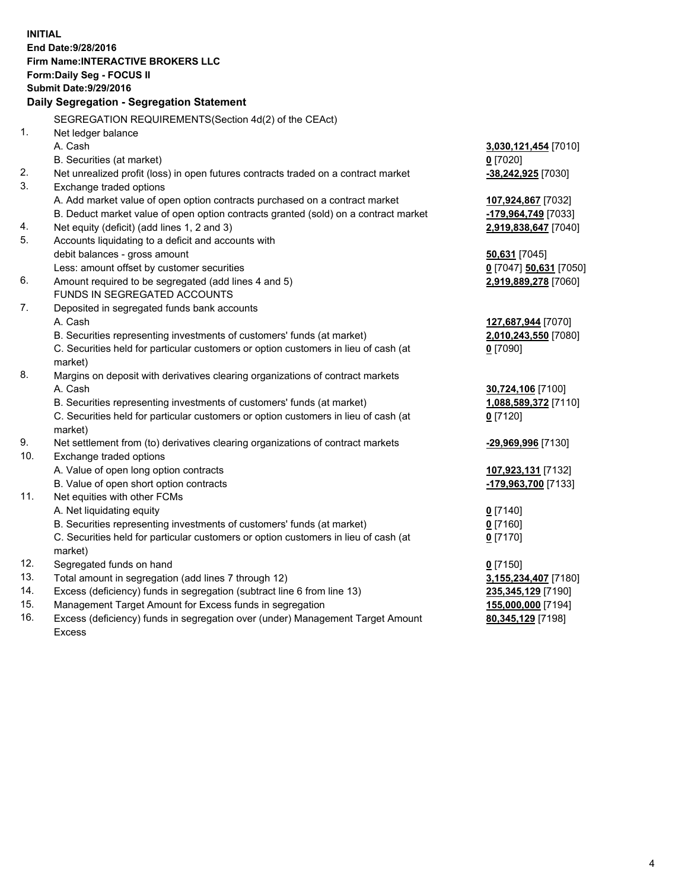**INITIAL End Date:9/28/2016 Firm Name:INTERACTIVE BROKERS LLC Form:Daily Seg - FOCUS II Submit Date:9/29/2016 Daily Segregation - Segregation Statement** SEGREGATION REQUIREMENTS(Section 4d(2) of the CEAct) 1. Net ledger balance A. Cash **3,030,121,454** [7010] B. Securities (at market) **0** [7020] 2. Net unrealized profit (loss) in open futures contracts traded on a contract market **-38,242,925** [7030] 3. Exchange traded options A. Add market value of open option contracts purchased on a contract market **107,924,867** [7032] B. Deduct market value of open option contracts granted (sold) on a contract market **-179,964,749** [7033] 4. Net equity (deficit) (add lines 1, 2 and 3) **2,919,838,647** [7040] 5. Accounts liquidating to a deficit and accounts with debit balances - gross amount **50,631** [7045] Less: amount offset by customer securities **0** [7047] **50,631** [7050] 6. Amount required to be segregated (add lines 4 and 5) **2,919,889,278** [7060] FUNDS IN SEGREGATED ACCOUNTS 7. Deposited in segregated funds bank accounts A. Cash **127,687,944** [7070] B. Securities representing investments of customers' funds (at market) **2,010,243,550** [7080] C. Securities held for particular customers or option customers in lieu of cash (at market) **0** [7090] 8. Margins on deposit with derivatives clearing organizations of contract markets A. Cash **30,724,106** [7100] B. Securities representing investments of customers' funds (at market) **1,088,589,372** [7110] C. Securities held for particular customers or option customers in lieu of cash (at market) **0** [7120] 9. Net settlement from (to) derivatives clearing organizations of contract markets **-29,969,996** [7130] 10. Exchange traded options A. Value of open long option contracts **107,923,131** [7132] B. Value of open short option contracts **-179,963,700** [7133] 11. Net equities with other FCMs A. Net liquidating equity **0** [7140] B. Securities representing investments of customers' funds (at market) **0** [7160] C. Securities held for particular customers or option customers in lieu of cash (at market) **0** [7170] 12. Segregated funds on hand **0** [7150] 13. Total amount in segregation (add lines 7 through 12) **3,155,234,407** [7180] 14. Excess (deficiency) funds in segregation (subtract line 6 from line 13) **235,345,129** [7190] 15. Management Target Amount for Excess funds in segregation **155,000,000** [7194] 16. Excess (deficiency) funds in segregation over (under) Management Target Amount **80,345,129** [7198]

Excess